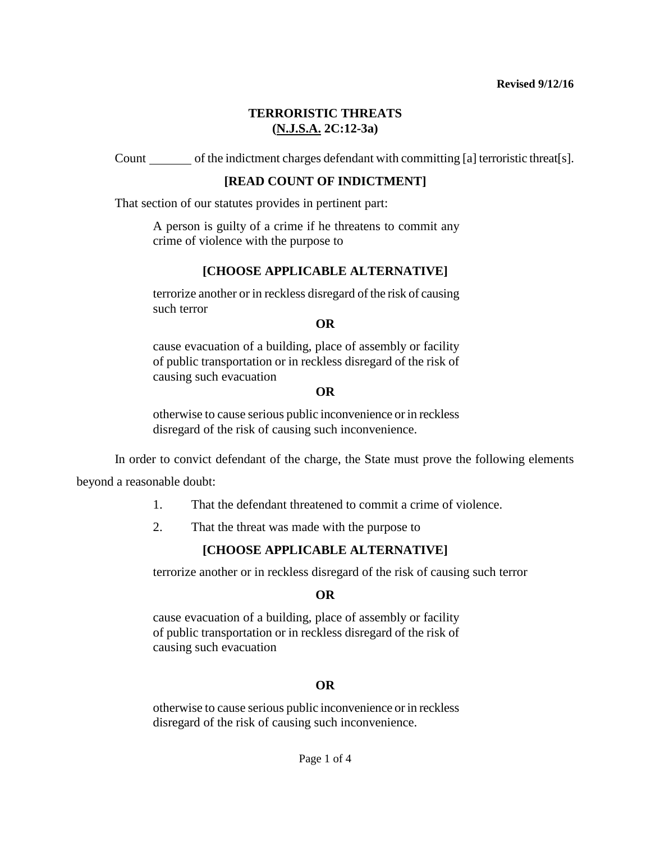#### **Revised 9/12/16**

# **TERRORISTIC THREATS (N.J.S.A. 2C:12-3a)**

Count of the indictment charges defendant with committing [a] terroristic threat[s].

## **[READ COUNT OF INDICTMENT]**

That section of our statutes provides in pertinent part:

A person is guilty of a crime if he threatens to commit any crime of violence with the purpose to

## **[CHOOSE APPLICABLE ALTERNATIVE]**

terrorize another or in reckless disregard of the risk of causing such terror

#### **OR**

cause evacuation of a building, place of assembly or facility of public transportation or in reckless disregard of the risk of causing such evacuation

## **OR**

otherwise to cause serious public inconvenience or in reckless disregard of the risk of causing such inconvenience.

In order to convict defendant of the charge, the State must prove the following elements

beyond a reasonable doubt:

- 1. That the defendant threatened to commit a crime of violence.
- 2. That the threat was made with the purpose to

## **[CHOOSE APPLICABLE ALTERNATIVE]**

terrorize another or in reckless disregard of the risk of causing such terror

## **OR**

cause evacuation of a building, place of assembly or facility of public transportation or in reckless disregard of the risk of causing such evacuation

## **OR**

otherwise to cause serious public inconvenience or in reckless disregard of the risk of causing such inconvenience.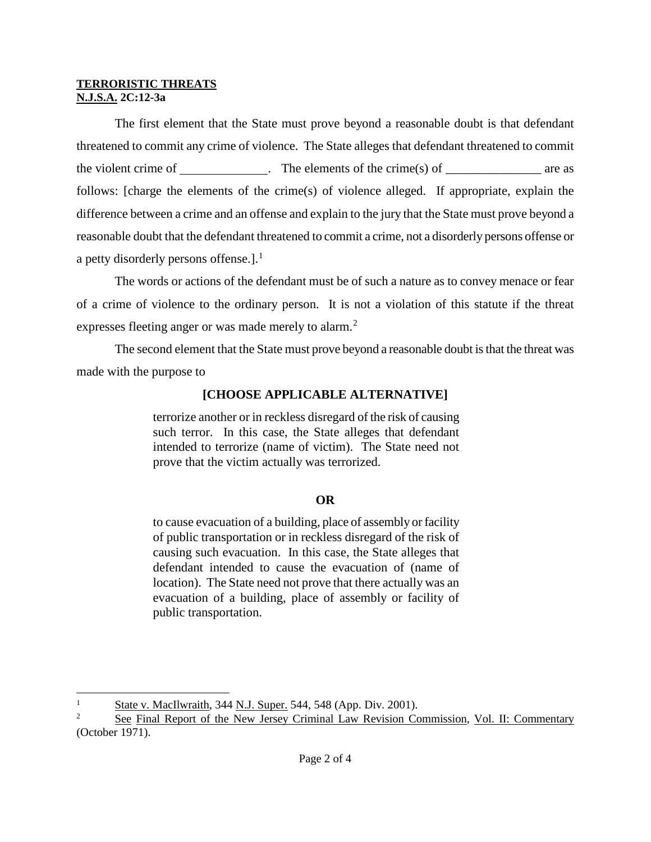#### **TERRORISTIC THREATS N.J.S.A. 2C:12-3a**

The first element that the State must prove beyond a reasonable doubt is that defendant threatened to commit any crime of violence. The State alleges that defendant threatened to commit the violent crime of \_\_\_\_\_\_\_\_\_\_\_. The elements of the crime(s) of \_\_\_\_\_\_\_\_\_\_\_\_\_\_\_\_ are as follows: [charge the elements of the crime(s) of violence alleged. If appropriate, explain the difference between a crime and an offense and explain to the jury that the State must prove beyond a reasonable doubt that the defendant threatened to commit a crime, not a disorderly persons offense or a petty disorderly persons offense.].<sup>[1](#page-1-0)</sup>

The words or actions of the defendant must be of such a nature as to convey menace or fear of a crime of violence to the ordinary person. It is not a violation of this statute if the threat expresses fleeting anger or was made merely to alarm.<sup>[2](#page-1-1)</sup>

The second element that the State must prove beyond a reasonable doubt is that the threat was made with the purpose to

## **[CHOOSE APPLICABLE ALTERNATIVE]**

terrorize another or in reckless disregard of the risk of causing such terror. In this case, the State alleges that defendant intended to terrorize (name of victim). The State need not prove that the victim actually was terrorized.

# **OR**

to cause evacuation of a building, place of assembly or facility of public transportation or in reckless disregard of the risk of causing such evacuation. In this case, the State alleges that defendant intended to cause the evacuation of (name of location). The State need not prove that there actually was an evacuation of a building, place of assembly or facility of public transportation.

<span id="page-1-0"></span> $\mathbf{1}$ State v. MacIlwraith, 344 N.J. Super. 544, 548 (App. Div. 2001).

<span id="page-1-1"></span><sup>&</sup>lt;sup>2</sup> See Final Report of the New Jersey Criminal Law Revision Commission, Vol. II: Commentary (October 1971).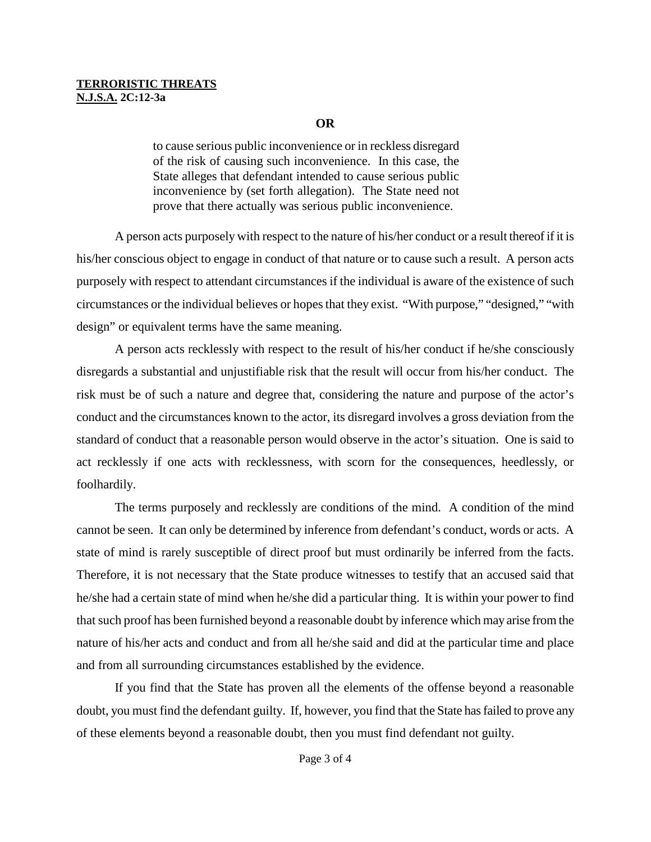#### **TERRORISTIC THREATS N.J.S.A. 2C:12-3a**

#### **OR**

to cause serious public inconvenience or in reckless disregard of the risk of causing such inconvenience. In this case, the State alleges that defendant intended to cause serious public inconvenience by (set forth allegation). The State need not prove that there actually was serious public inconvenience.

A person acts purposely with respect to the nature of his/her conduct or a result thereof if it is his/her conscious object to engage in conduct of that nature or to cause such a result. A person acts purposely with respect to attendant circumstances if the individual is aware of the existence of such circumstances or the individual believes or hopes that they exist. "With purpose," "designed," "with design" or equivalent terms have the same meaning.

A person acts recklessly with respect to the result of his/her conduct if he/she consciously disregards a substantial and unjustifiable risk that the result will occur from his/her conduct. The risk must be of such a nature and degree that, considering the nature and purpose of the actor's conduct and the circumstances known to the actor, its disregard involves a gross deviation from the standard of conduct that a reasonable person would observe in the actor's situation. One is said to act recklessly if one acts with recklessness, with scorn for the consequences, heedlessly, or foolhardily.

The terms purposely and recklessly are conditions of the mind. A condition of the mind cannot be seen. It can only be determined by inference from defendant's conduct, words or acts. A state of mind is rarely susceptible of direct proof but must ordinarily be inferred from the facts. Therefore, it is not necessary that the State produce witnesses to testify that an accused said that he/she had a certain state of mind when he/she did a particular thing. It is within your power to find that such proof has been furnished beyond a reasonable doubt by inference which may arise from the nature of his/her acts and conduct and from all he/she said and did at the particular time and place and from all surrounding circumstances established by the evidence.

If you find that the State has proven all the elements of the offense beyond a reasonable doubt, you must find the defendant guilty. If, however, you find that the State has failed to prove any of these elements beyond a reasonable doubt, then you must find defendant not guilty.